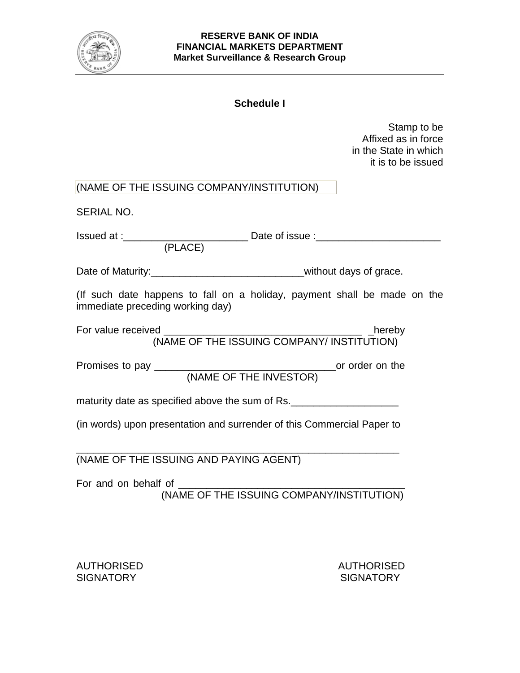

## **RESERVE BANK OF INDIA FINANCIAL MARKETS DEPARTMENT Market Surveillance & Research Group**

## **Schedule I**

Stamp to be Affixed as in force in the State in which it is to be issued

| (NAME OF THE ISSUING COMPANY/INSTITUTION) |
|-------------------------------------------|
|-------------------------------------------|

SERIAL NO.

| Issued at: |         | Date of issue : |  |
|------------|---------|-----------------|--|
|            | (PLACE) |                 |  |

Date of Maturity:\_\_\_\_\_\_\_\_\_\_\_\_\_\_\_\_\_\_\_\_\_\_\_\_\_\_\_\_\_\_\_\_\_without days of grace.

(If such date happens to fall on a holiday, payment shall be made on the immediate preceding working day)

| For value received |                                           | hereby |
|--------------------|-------------------------------------------|--------|
|                    | (NAME OF THE ISSUING COMPANY/INSTITUTION) |        |

Promises to pay \_\_\_\_\_\_\_\_\_\_\_\_\_\_\_\_\_\_\_\_\_\_\_\_\_\_\_\_\_\_\_\_or order on the (NAME OF THE INVESTOR)

maturity date as specified above the sum of Rs.

(in words) upon presentation and surrender of this Commercial Paper to

\_\_\_\_\_\_\_\_\_\_\_\_\_\_\_\_\_\_\_\_\_\_\_\_\_\_\_\_\_\_\_\_\_\_\_\_\_\_\_\_\_\_\_\_\_\_\_\_\_\_\_\_\_\_\_\_\_

(NAME OF THE ISSUING AND PAYING AGENT)

For and on behalf of (NAME OF THE ISSUING COMPANY/INSTITUTION)

AUTHORISED AUTHORISED SIGNATORY **SIGNATORY** SIGNATORY